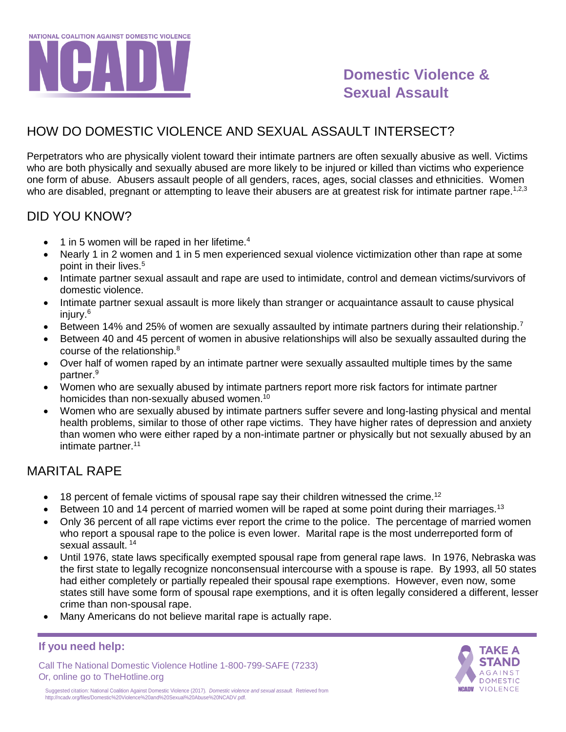

# **Domestic Violence & Sexual Assault**

## HOW DO DOMESTIC VIOLENCE AND SEXUAL ASSAULT INTERSECT?

Perpetrators who are physically violent toward their intimate partners are often sexually abusive as well. Victims who are both physically and sexually abused are more likely to be injured or killed than victims who experience one form of abuse. Abusers assault people of all genders, races, ages, social classes and ethnicities. Women who are disabled, pregnant or attempting to leave their abusers are at greatest risk for intimate partner rape.<sup>1,2,3</sup>

### DID YOU KNOW?

- $\bullet$  1 in 5 women will be raped in her lifetime.<sup>4</sup>
- Nearly 1 in 2 women and 1 in 5 men experienced sexual violence victimization other than rape at some point in their lives.<sup>5</sup>
- Intimate partner sexual assault and rape are used to intimidate, control and demean victims/survivors of domestic violence.
- Intimate partner sexual assault is more likely than stranger or acquaintance assault to cause physical injury.<sup>6</sup>
- Between 14% and 25% of women are sexually assaulted by intimate partners during their relationship.<sup>7</sup>
- Between 40 and 45 percent of women in abusive relationships will also be sexually assaulted during the course of the relationship.<sup>8</sup>
- Over half of women raped by an intimate partner were sexually assaulted multiple times by the same partner.<sup>9</sup>
- Women who are sexually abused by intimate partners report more risk factors for intimate partner homicides than non-sexually abused women.<sup>10</sup>
- Women who are sexually abused by intimate partners suffer severe and long-lasting physical and mental health problems, similar to those of other rape victims. They have higher rates of depression and anxiety than women who were either raped by a non-intimate partner or physically but not sexually abused by an intimate partner.<sup>11</sup>

### MARITAL RAPE

- $\bullet$  18 percent of female victims of spousal rape say their children witnessed the crime.<sup>12</sup>
- Between 10 and 14 percent of married women will be raped at some point during their marriages.<sup>13</sup>
- Only 36 percent of all rape victims ever report the crime to the police. The percentage of married women who report a spousal rape to the police is even lower. Marital rape is the most underreported form of sexual assault. <sup>14</sup>
- Until 1976, state laws specifically exempted spousal rape from general rape laws. In 1976, Nebraska was the first state to legally recognize nonconsensual intercourse with a spouse is rape. By 1993, all 50 states had either completely or partially repealed their spousal rape exemptions. However, even now, some states still have some form of spousal rape exemptions, and it is often legally considered a different, lesser crime than non-spousal rape.
- Many Americans do not believe marital rape is actually rape.

#### **If you need help:**

Call The National Domestic Violence Hotline 1-800-799-SAFE (7233) Or, online go to TheHotline.org